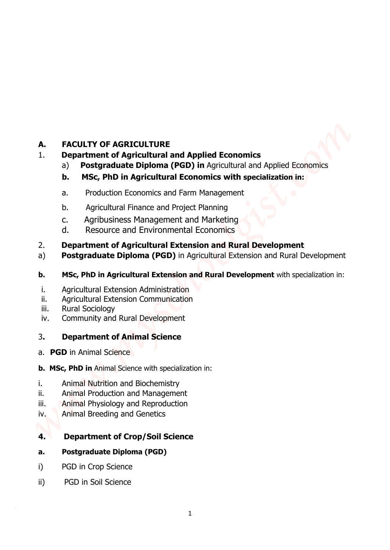### **A. FACULTY OF AGRICULTURE**

### 1. **Department of Agricultural and Applied Economics**

a) **Postgraduate Diploma (PGD) in** Agricultural and Applied Economics

### **b. MSc, PhD in Agricultural Economics with specialization in:**

- a. Production Economics and Farm Management
- b. Agricultural Finance and Project Planning
- c. Agribusiness Management and Marketing
- d. Resource and Environmental Economics

### 2. **Department of Agricultural Extension and Rural Development**

- a) **Postgraduate Diploma (PGD)** in Agricultural Extension and Rural Development **n. PACULTY OF AGRICULTURE**<br> **N. Positivation Exploriment and Applied Economics**<br> **a) Positivated Repricultural and Applied Economics**<br> **b. MSc, PhD in Agricultural Economics with specialization in:**<br> **a.** *Product* 
	- **b. MSc, PhD in Agricultural Extension and Rural Development** with specialization in:
	- i. Agricultural Extension Administration
	- ii. Agricultural Extension Communication
	- iii. Rural Sociology
	- iv. Community and Rural Development

### 3**. Department of Animal Science**

- a. **PGD** in Animal Science
- **b. MSc, PhD in** Animal Science with specialization in:
- i. Animal Nutrition and Biochemistry
- ii. Animal Production and Management
- iii. Animal Physiology and Reproduction
- iv. Animal Breeding and Genetics

### **4. Department of Crop/Soil Science**

### **a. Postgraduate Diploma (PGD)**

- i) PGD in Crop Science
- ii) PGD in Soil Science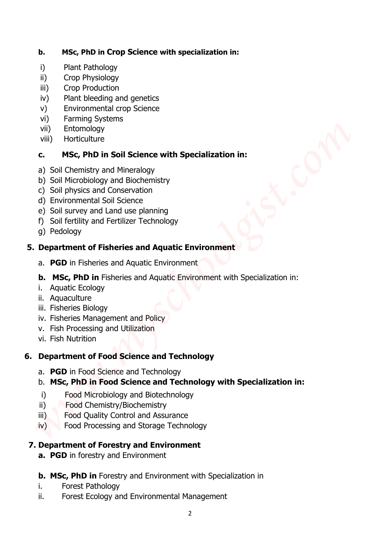### **b. MSc, PhD in Crop Science with specialization in:**

- i) Plant Pathology
- ii) Crop Physiology
- iii) Crop Production
- iv) Plant bleeding and genetics
- v) Environmental crop Science
- vi) Farming Systems
- vii) Entomology
- viii) Horticulture

### **c. MSc, PhD in Soil Science with Specialization in:**

- a) Soil Chemistry and Mineralogy
- b) Soil Microbiology and Biochemistry
- c) Soil physics and Conservation
- d) Environmental Soil Science
- e) Soil survey and Land use planning
- f) Soil fertility and Fertilizer Technology
- g) Pedology

### **5. Department of Fisheries and Aquatic Environment**

- a. **PGD** in Fisheries and Aquatic Environment
- **b. MSc, PhD in** Fisheries and Aquatic Environment with Specialization in:
- i. Aquatic Ecology
- ii. Aquaculture
- iii. Fisheries Biology
- iv. Fisheries Management and Policy
- v. Fish Processing and Utilization
- vi. Fish Nutrition

### **6. Department of Food Science and Technology**

a. **PGD** in Food Science and Technology

## b. **MSc, PhD in Food Science and Technology with Specialization in: ii. Hotel Co Philb in Crop Science with specialization in:<br>
ii) Pant Pathology<br>
iii) Cop Production<br>
ivery the comparisons<br>
valid Environmental crop Science<br>
valid Environmental crop Science<br>
valid Environmental Cro**

- i) Food Microbiology and Biotechnology
- ii) Food Chemistry/Biochemistry
- iii) Food Quality Control and Assurance
- iv) Food Processing and Storage Technology

### **7. Department of Forestry and Environment**

**a. PGD** in forestry and Environment

### **b. MSc, PhD in** Forestry and Environment with Specialization in

- i. Forest Pathology
-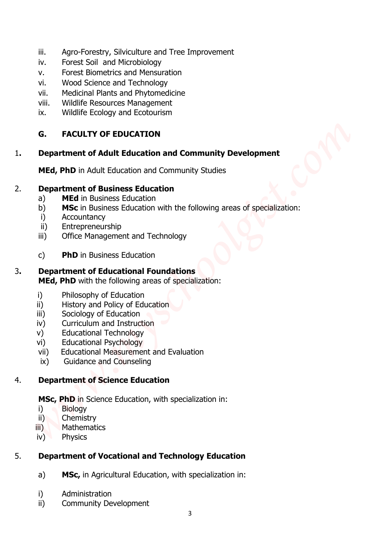- iii. Agro-Forestry, Silviculture and Tree Improvement
- iv. Forest Soil and Microbiology
- v. Forest Biometrics and Mensuration
- vi. Wood Science and Technology
- vii. Medicinal Plants and Phytomedicine
- viii. Wildlife Resources Management
- ix. Wildlife Ecology and Ecotourism

### **G. FACULTY OF EDUCATION**

# 1**. Department of Adult Education and Community Development** iii. Agre-Forestry, Silvialistic and Tree improvement<br>
iv. Forest Sall and Merobiology<br>
v. from Edvelopments and Photonecides<br>
viii. Middleta Haust and Photonecides<br>
viiii. Wildlife Ecourcy Professionent<br>
is. Wildlife Ecou

**MEd, PhD** in Adult Education and Community Studies

### 2. **Department of Business Education**

- a) **MEd** in Business Education
- b) **MSc** in Business Education with the following areas of specialization:
- i) Accountancy
- ii) Entrepreneurship
- iii) Office Management and Technology
- c) **PhD** in Business Education

### 3**. Department of Educational Foundations**

**MEd, PhD** with the following areas of specialization:

- **i**) Philosophy of Education
- ii) History and Policy of Education
- iii) Sociology of Education
- iv) Curriculum and Instruction
- v) Educational Technology
- vi) Educational Psychology
- vii) Educational Measurement and Evaluation
- ix) Guidance and Counseling

### 4. **Department of Science Education**

**MSc, PhD** in Science Education, with specialization in:

- i) Biology
- ii) Chemistry
- **iii)** Mathematics
- iv) Physics

### 5. **Department of Vocational and Technology Education**

- a) **MSc,** in Agricultural Education, with specialization in:
- i) Administration
-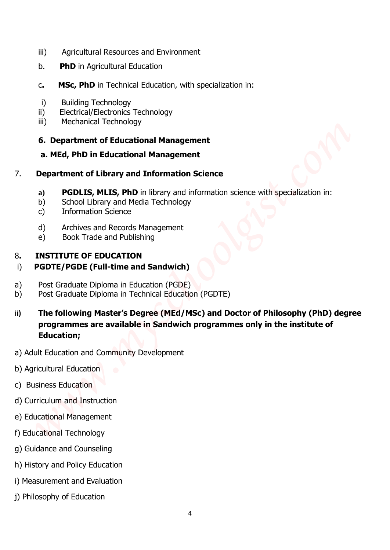- iii) Agricultural Resources and Environment
- b. **PhD** in Agricultural Education
- c**. MSc, PhD** in Technical Education, with specialization in:
- i) Building Technology
- ii) Electrical/Electronics Technology
- iii) Mechanical Technology

### **6. Department of Educational Management**

### **a. MEd, PhD in Educational Management**

### 7. **Department of Library and Information Science**

- **a) PGDLIS, MLIS, PhD** in library and information science with specialization in:
- b) School Library and Media Technology
- c) Information Science
- d) Archives and Records Management
- e) Book Trade and Publishing

### 8**. INSTITUTE OF EDUCATION**

### i) **PGDTE/PGDE (Full-time and Sandwich)**

- a) Post Graduate Diploma in Education (PGDE)
- b) Post Graduate Diploma in Technical Education (PGDTE)
- **ii) The following Master's Degree (MEd/MSc) and Doctor of Philosophy (PhD) degree programmes are available in Sandwich programmes only in the institute of Education;**  iii) Papitullural Resources and Environment<br>
b. **PhiD in Agricultural Education**<br>
c. **MSc, PhD in Technical Education**<br>
1) Bladling Technology<br>
iii) Electrical/Electronics Technology<br>
iii) Phechand II Kenning Technology<br>
i
	- a) Adult Education and Community Development
	- b) Agricultural Education
	- c) Business Education
	- d) Curriculum and Instruction
	- e) Educational Management
	- f) Educational Technology
	- g) Guidance and Counseling
	- h) History and Policy Education
	- i) Measurement and Evaluation
	-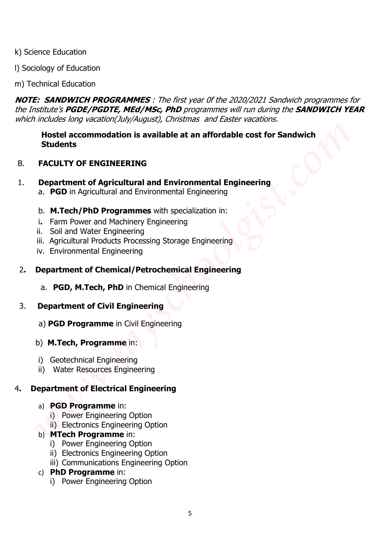- k) Science Education
- l) Sociology of Education

m) Technical Education

**NOTE: SANDWICH PROGRAMMES** : The first year 0f the 2020/2021 Sandwich programmes for the Institute's **PGDE/PGDTE, MEd/MSc, PhD** programmes will run during the **SANDWICH YEAR** which includes long vacation(July/August), Christmas and Easter vacations. i) Sidence Education<br>
in) Technical Education<br>
my Technical Education<br>
my Technical Education<br> *Whe Institutes for pic programs (which a 2002/2021 Spanishi programme for<br>
When Installed Solv waxelon(AulyAugust), Onistimas* 

**Hostel accommodation is available at an affordable cost for Sandwich Students**

### B. **FACULTY OF ENGINEERING**

- 1. **Department of Agricultural and Environmental Engineering**
	- a. **PGD** in Agricultural and Environmental Engineering

### b. **M.Tech/PhD Programmes** with specialization in:

- i**.** Farm Power and Machinery Engineering
- ii. Soil and Water Engineering
- iii. Agricultural Products Processing Storage Engineering
- iv. Environmental Engineering

### 2**. Department of Chemical/Petrochemical Engineering**

a. **PGD, M.Tech, PhD** in Chemical Engineering

### 3. **Department of Civil Engineering**

- a) **PGD Programme** in Civil Engineering
- b) **M.Tech, Programme** in:
- i) Geotechnical Engineering
- ii) Water Resources Engineering

### 4**. Department of Electrical Engineering**

### a) **PGD Programme** in:

- i) Power Engineering Option
- ii) Electronics Engineering Option

### b) **MTech Programme** in:

- i) Power Engineering Option
- ii) Electronics Engineering Option
- iii) Communications Engineering Option
- c) **PhD Programme** in:
	-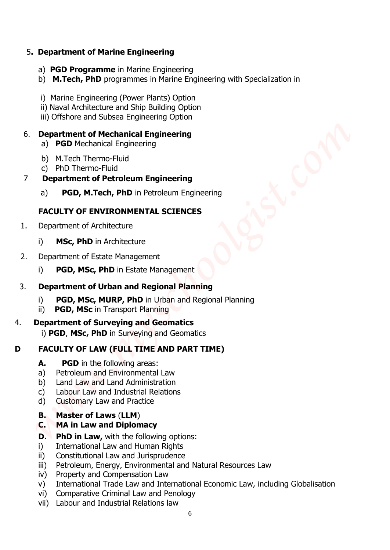### 5**. Department of Marine Engineering**

- a) **PGD Programme** in Marine Engineering
- b) **M.Tech, PhD** programmes in Marine Engineering with Specialization in
- i) Marine Engineering (Power Plants) Option
- ii) Naval Architecture and Ship Building Option
- iii) Offshore and Subsea Engineering Option

### 6. **Department of Mechanical Engineering**

- a) **PGD** Mechanical Engineering
- b) M.Tech Thermo-Fluid
- c) PhD Thermo-Fluid

### 7 **Department of Petroleum Engineering**

a) **PGD, M.Tech, PhD** in Petroleum Engineering

### **FACULTY OF ENVIRONMENTAL SCIENCES**

- 1. Department of Architecture
	- i) **MSc, PhD** in Architecture
- 2. Department of Estate Management
	- i) **PGD, MSc, PhD** in Estate Management

### 3. **Department of Urban and Regional Planning**

- i) **PGD, MSc, MURP, PhD** in Urban and Regional Planning
- ii) **PGD, MSc** in Transport Planning
- 4. **Department of Surveying and Geomatics** i) **PGD, MSc, PhD** in Surveying and Geomatics s. Department of Marine Engineering<br>
a) PGD Programme in Planne Exgineering<br>
(i) M.Tech, PHD programmes in Planne Exgineering with Specialization in<br>
(i) Microscome Comment of Mechanical Engineering<br>
(iii) Represent of Mec

### **D FACULTY OF LAW (FULL TIME AND PART TIME)**

- **A. PGD** in the following areas:
- a) Petroleum and Environmental Law
- b) Land Law and Land Administration
- c) Labour Law and Industrial Relations
- d) Customary Law and Practice

### **B. Master of Laws** (**LLM**)

### **C. MA in Law and Diplomacy**

- **D. PhD in Law,** with the following options:
- i) International Law and Human Rights
- ii) Constitutional Law and Jurisprudence
- iii) Petroleum, Energy, Environmental and Natural Resources Law
- iv) Property and Compensation Law
- v) International Trade Law and International Economic Law, including Globalisation
- vi) Comparative Criminal Law and Penology
-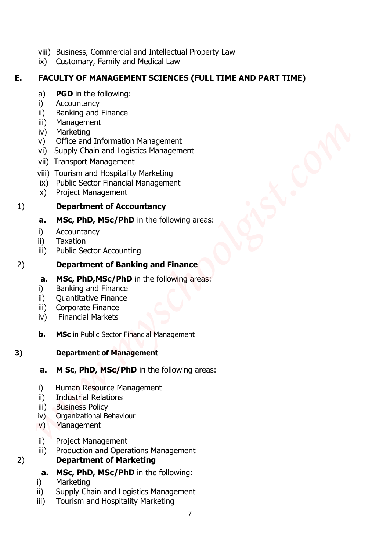- viii) Business, Commercial and Intellectual Property Law
- ix) Customary, Family and Medical Law

# **E. FACULTY OF MANAGEMENT SCIENCES (FULL TIME AND PART TIME)** iii) Dustriess, Commercial and Intellectual Property Law<br>
in: C. Commercial Islam<br> **E. P. Commercial Property Screen Serves (FULL TIME AND PART TIME)**<br>
a) **P. Commercial**<br>
ii) Rening and France<br>
iii) Tourism and Hospital

- a) **PGD** in the following:
- i) Accountancy
- ii) Banking and Finance
- iii) Management
- iv) Marketing
- v) Office and Information Management
- vi) Supply Chain and Logistics Management
- vii) Transport Management
- viii) Tourism and Hospitality Marketing
- ix) Public Sector Financial Management
- x) Project Management

### 1) **Department of Accountancy**

### **a. MSc, PhD, MSc/PhD** in the following areas:

- i) Accountancy
- ii) Taxation
- iii) Public Sector Accounting

### 2) **Department of Banking and Finance**

### **a. MSc, PhD,MSc/PhD** in the following areas:

- i) Banking and Finance
- ii) Quantitative Finance
- iii) Corporate Finance
- iv) Financial Markets
- **b. MSc** in Public Sector Financial Management

### **3) Department of Management**

- **a. M Sc, PhD, MSc/PhD** in the following areas:
- i) Human Resource Management
- ii) Industrial Relations
- iii) Business Policy
- iv) Organizational Behaviour
- v) Management
- ii) Project Management
- iii) Production and Operations Management

### 2) **Department of Marketing**

### **a. MSc, PhD, MSc/PhD** in the following:

- i) Marketing
- ii) Supply Chain and Logistics Management
-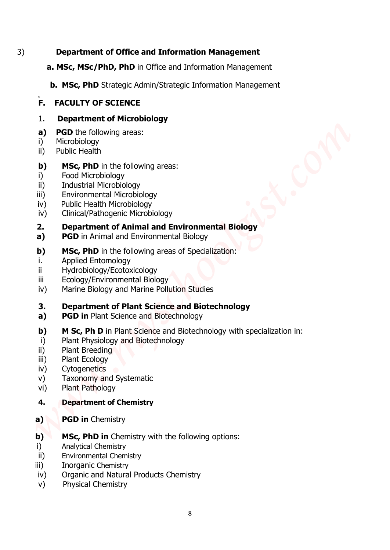### 3) **Department of Office and Information Management**

- **a. MSc, MSc/PhD, PhD** in Office and Information Management
- **b. MSc, PhD** Strategic Admin/Strategic Information Management

### **C F. FACULTY OF SCIENCE**

### 1. **Department of Microbiology**

- **a) PGD** the following areas:
- i) Microbiology
- ii) Public Health
- **b)** MSc, PhD in the following areas:
- i) Food Microbiology
- ii) Industrial Microbiology
- iii) Environmental Microbiology
- iv) Public Health Microbiology
- iv) Clinical/Pathogenic Microbiology

### **2. Department of Animal and Environmental Biology**

- **a) PGD** in Animal and Environmental Biology
- **b) MSc, PhD** in the following areas of Specialization:
- i. Applied Entomology
- ii Hydrobiology/Ecotoxicology
- iii Ecology/Environmental Biology
- iv) Marine Biology and Marine Pollution Studies

### **3. Department of Plant Science and Biotechnology**

- **a) PGD in** Plant Science and Biotechnology
- **b) M Sc, Ph D** in Plant Science and Biotechnology with specialization in: view of **Chemistric Chemistric Chemistric Chemistric Chemistry American Chemistry American Chemistry<br>
<b>v MSc, Philo Strategic Administration** (Endmonton Management<br> **F. FACULTY OF SCIENCE**<br>
1. **Department of Microbiology** 
	- i) Plant Physiology and Biotechnology
	- ii) Plant Breeding
	- iii) Plant Ecology
	- iv) Cytogenetics
	- v) Taxonomy and Systematic
	- vi) Plant Pathology

### **4. Department of Chemistry**

- **a) PGD in** Chemistry
- **b)** MSc, PhD in Chemistry with the following options:
- i) Analytical Chemistry
- ii) Environmental Chemistry
- iii) Inorganic Chemistry
- iv) Organic and Natural Products Chemistry
-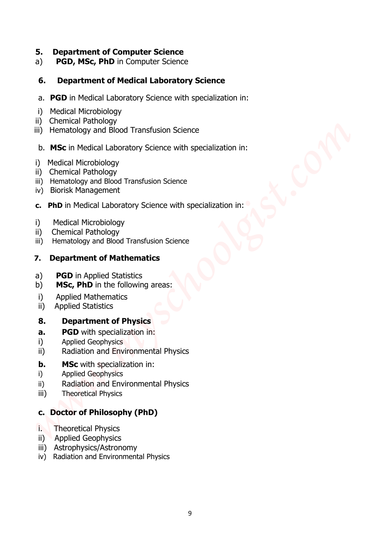### **5. Department of Computer Science**

a) **PGD, MSc, PhD** in Computer Science

### **6. Department of Medical Laboratory Science**

- a. **PGD** in Medical Laboratory Science with specialization in: **5. Department of Computer Science**<br>
iiv) **PGD, MSc, PhD** in Computer Science<br> **6. Department of Medical Laboratory Science**<br>
a. **PGD** in Medical Laboratory Science with specialization in:<br>
ii) Chemical Microbiology<br>
iii)
	- i) Medical Microbiology
	- ii) Chemical Pathology
	- iii) Hematology and Blood Transfusion Science
	- b. **MSc** in Medical Laboratory Science with specialization in:
	- i) Medical Microbiology
	- ii) Chemical Pathology
	- iii) Hematology and Blood Transfusion Science
	- iv) Biorisk Management
	- **c. PhD** in Medical Laboratory Science with specialization in:
	- i) Medical Microbiology
	- ii) Chemical Pathology
	- iii) Hematology and Blood Transfusion Science

### **7. Department of Mathematics**

- a) **PGD** in Applied Statistics
- b) **MSc, PhD** in the following areas:
- i) Applied Mathematics
- ii) Applied Statistics

### **8. Department of Physics**

- **a.** PGD with specialization in:
- i) Applied Geophysics
- ii) Radiation and Environmental Physics
- **b. MSc** with specialization in:
- i) Applied Geophysics
- ii) Radiation and Environmental Physics
- iii) Theoretical Physics

### **c. Doctor of Philosophy (PhD)**

- i.Theoretical Physics
- ii) Applied Geophysics
- iii) Astrophysics/Astronomy
-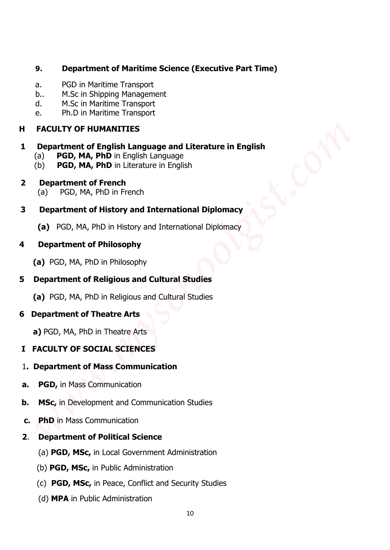# **9. Department of Maritime Science (Executive Part Time)** (a) **MPA** in Haristian Science (Executive Part Time)<br>
(b. M2-in Publich Tenscort<br>
(d. M.Sc. in Simmler Transport<br>
(d. MPA in Martime Transport<br>
(e. MPL) in Martime Transport<br>
(e. MPL) in Martime Transport<br>
(d) **PGD, MA, PH**

- a. PGD in Maritime Transport
- b.. M.Sc in Shipping Management
- d. M.Sc in Maritime Transport
- e. Ph.D in Maritime Transport

### **H FACULTY OF HUMANITIES**

### **1 Department of English Language and Literature in English**

- (a) **PGD, MA, PhD** in English Language
- (b) **PGD, MA, PhD** in Literature in English
- **2 Department of French** 
	- (a) PGD, MA, PhD in French

### **3 Department of History and International Diplomacy**

 **(a)** PGD, MA, PhD in History and International Diplomacy

### **4 Department of Philosophy**

 **(a)** PGD, MA, PhD in Philosophy

### **5 Department of Religious and Cultural Studies**

 **(a)** PGD, MA, PhD in Religious and Cultural Studies

### **6 Department of Theatre Arts**

 **a)** PGD, MA, PhD in Theatre Arts

### **I FACULTY OF SOCIAL SCIENCES**

### 1**. Department of Mass Communication**

- **a. PGD,** in Mass Communication
- **b. MSc, in Development and Communication Studies**
- **c. PhD** in Mass Communication

### **2**. **Department of Political Science**

- (a) **PGD, MSc,** in Local Government Administration
- (b) **PGD, MSc,** in Public Administration
- (c) **PGD, MSc,** in Peace, Conflict and Security Studies
-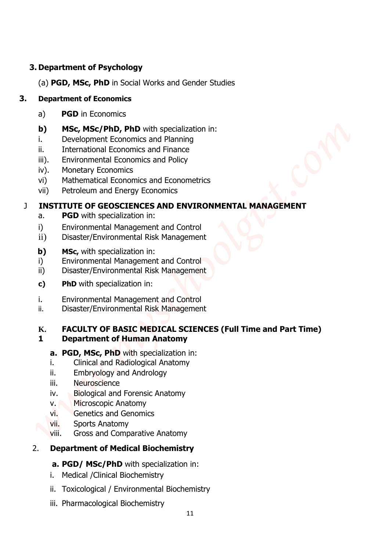### **3. Department of Psychology**

(a) **PGD, MSc, PhD** in Social Works and Gender Studies

### **3. Department of Economics**

- a) **PGD** in Economics
- **b) MSc, MSc/PhD, PhD** with specialization in:
- i. Development Economics and Planning
- ii. International Economics and Finance
- iii). Environmental Economics and Policy
- iv). Monetary Economics
- vi) Mathematical Economics and Econometrics
- vii) Petroleum and Energy Economics

### J **INSTITUTE OF GEOSCIENCES AND ENVIRONMENTAL MANAGEMENT**

- a. **PGD** with specialization in:
- i) Environmental Management and Control
- ii) Disaster/Environmental Risk Management
- **b) MSc,** with specialization in:
- i) Environmental Management and Control
- ii) Disaster/Environmental Risk Management
- **c) PhD** with specialization in:
- i. Environmental Management and Control
- ii. Disaster/Environmental Risk Management

### **K. FACULTY OF BASIC MEDICAL SCIENCES (Full Time and Part Time) 1 Department of Human Anatomy 3. Department of Psychology**<br>
(a) PGD, MSc, PhD in Social Works and Gender Studies<br> **3.** PGD in Scoronies<br>
(b) MSc, MSC/PID, PhD with secondization in:<br>
1. Development Economics and France<br>
ii. Development forcomics and F

- **a. PGD, MSc, PhD** with specialization in:
- i. Clinical and Radiological Anatomy
- ii. Embryology and Andrology
- iii. Neuroscience
- iv. Biological and Forensic Anatomy
- v. Microscopic Anatomy
- vi. Genetics and Genomics
- vii. Sports Anatomy
- viii. Gross and Comparative Anatomy

### 2. **Department of Medical Biochemistry**

### **a. PGD/ MSc/PhD** with specialization in:

- i. Medical /Clinical Biochemistry
- ii. Toxicological / Environmental Biochemistry
-